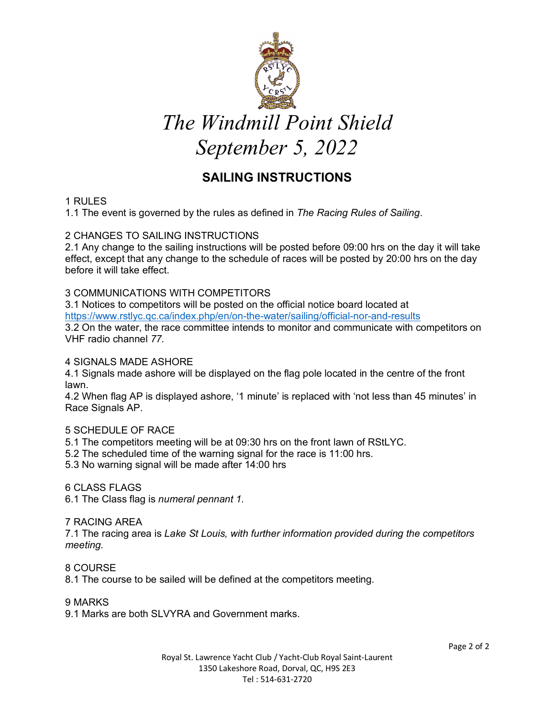

# *The Windmill Point Shield September 5, 2022*

# **SAILING INSTRUCTIONS**

# 1 RULES

1.1 The event is governed by the rules as defined in *The Racing Rules of Sailing*.

# 2 CHANGES TO SAILING INSTRUCTIONS

2.1 Any change to the sailing instructions will be posted before 09:00 hrs on the day it will take effect, except that any change to the schedule of races will be posted by 20:00 hrs on the day before it will take effect.

# 3 COMMUNICATIONS WITH COMPETITORS

3.1 Notices to competitors will be posted on the official notice board located at https://www.rstlyc.qc.ca/index.php/en/on-the-water/sailing/official-nor-and-results 3.2 On the water, the race committee intends to monitor and communicate with competitors on VHF radio channel *77.* 

### 4 SIGNALS MADE ASHORE

4.1 Signals made ashore will be displayed on the flag pole located in the centre of the front lawn.

4.2 When flag AP is displayed ashore, '1 minute' is replaced with 'not less than 45 minutes' in Race Signals AP.

# 5 SCHEDULE OF RACE

5.1 The competitors meeting will be at 09:30 hrs on the front lawn of RStLYC.

- 5.2 The scheduled time of the warning signal for the race is 11:00 hrs.
- 5.3 No warning signal will be made after 14:00 hrs

#### 6 CLASS FLAGS

6.1 The Class flag is *numeral pennant 1.* 

#### 7 RACING AREA

7.1 The racing area is *Lake St Louis, with further information provided during the competitors meeting.*

8 COURSE

8.1 The course to be sailed will be defined at the competitors meeting.

#### 9 MARKS

9.1 Marks are both SLVYRA and Government marks.